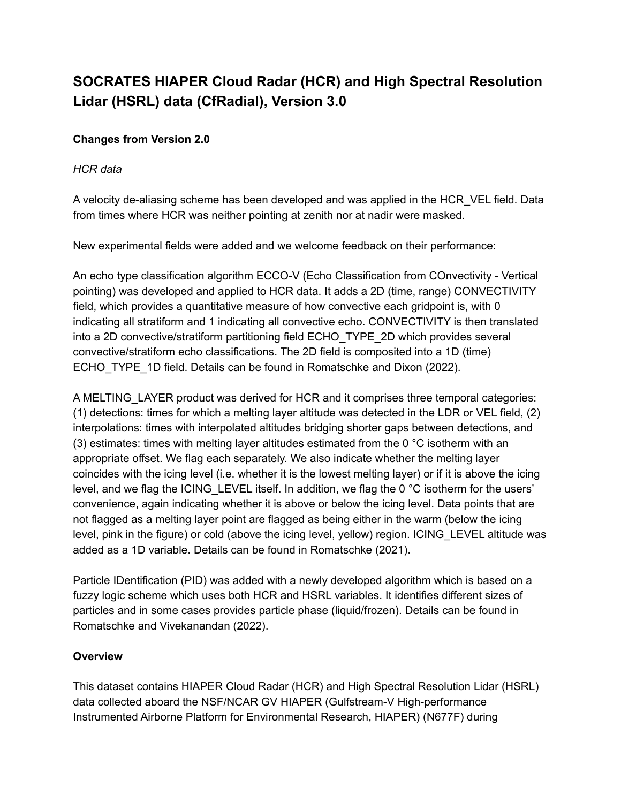# **SOCRATES HIAPER Cloud Radar (HCR) and High Spectral Resolution Lidar (HSRL) data (CfRadial), Version 3.0**

## **Changes from Version 2.0**

## *HCR data*

A velocity de-aliasing scheme has been developed and was applied in the HCR\_VEL field. Data from times where HCR was neither pointing at zenith nor at nadir were masked.

New experimental fields were added and we welcome feedback on their performance:

An echo type classification algorithm ECCO-V (Echo Classification from COnvectivity - Vertical pointing) was developed and applied to HCR data. It adds a 2D (time, range) CONVECTIVITY field, which provides a quantitative measure of how convective each gridpoint is, with 0 indicating all stratiform and 1 indicating all convective echo. CONVECTIVITY is then translated into a 2D convective/stratiform partitioning field ECHO\_TYPE\_2D which provides several convective/stratiform echo classifications. The 2D field is composited into a 1D (time) ECHO\_TYPE\_1D field. Details can be found in Romatschke and Dixon (2022).

A MELTING\_LAYER product was derived for HCR and it comprises three temporal categories: (1) detections: times for which a melting layer altitude was detected in the LDR or VEL field, (2) interpolations: times with interpolated altitudes bridging shorter gaps between detections, and (3) estimates: times with melting layer altitudes estimated from the 0  $\degree$ C isotherm with an appropriate offset. We flag each separately. We also indicate whether the melting layer coincides with the icing level (i.e. whether it is the lowest melting layer) or if it is above the icing level, and we flag the ICING LEVEL itself. In addition, we flag the 0 °C isotherm for the users' convenience, again indicating whether it is above or below the icing level. Data points that are not flagged as a melting layer point are flagged as being either in the warm (below the icing level, pink in the figure) or cold (above the icing level, yellow) region. ICING\_LEVEL altitude was added as a 1D variable. Details can be found in Romatschke (2021).

Particle IDentification (PID) was added with a newly developed algorithm which is based on a fuzzy logic scheme which uses both HCR and HSRL variables. It identifies different sizes of particles and in some cases provides particle phase (liquid/frozen). Details can be found in Romatschke and Vivekanandan (2022).

## **Overview**

This dataset contains HIAPER Cloud Radar (HCR) and High Spectral Resolution Lidar (HSRL) data collected aboard the NSF/NCAR GV HIAPER (Gulfstream-V High-performance Instrumented Airborne Platform for Environmental Research, HIAPER) (N677F) during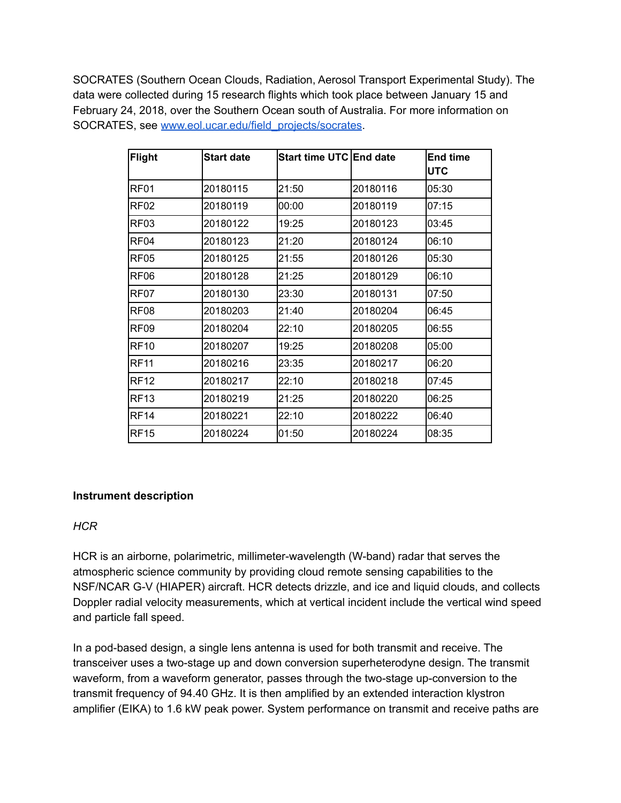SOCRATES (Southern Ocean Clouds, Radiation, Aerosol Transport Experimental Study). The data were collected during 15 research flights which took place between January 15 and February 24, 2018, over the Southern Ocean south of Australia. For more information on SOCRATES, see [www.eol.ucar.edu/field\\_projects/socrates](http://www.eol.ucar.edu/field_projects/socrates).

| <b>Flight</b>    | <b>Start date</b> | Start time UTC End date |          | End time<br><b>UTC</b> |
|------------------|-------------------|-------------------------|----------|------------------------|
| RF <sub>01</sub> | 20180115          | 21:50                   | 20180116 | 05:30                  |
| RF <sub>02</sub> | 20180119          | 00:00                   | 20180119 | 07:15                  |
| RF03             | 20180122          | 19:25                   | 20180123 | 03:45                  |
| RF <sub>04</sub> | 20180123          | 21:20                   | 20180124 | 06:10                  |
| <b>RF05</b>      | 20180125          | 21:55                   | 20180126 | 05:30                  |
| RF <sub>06</sub> | 20180128          | 21:25                   | 20180129 | 06:10                  |
| RF07             | 20180130          | 23:30                   | 20180131 | 07:50                  |
| <b>RF08</b>      | 20180203          | 21:40                   | 20180204 | 06:45                  |
| RF <sub>09</sub> | 20180204          | 22:10                   | 20180205 | 06:55                  |
| <b>RF10</b>      | 20180207          | 19:25                   | 20180208 | 05:00                  |
| <b>RF11</b>      | 20180216          | 23:35                   | 20180217 | 06:20                  |
| RF12             | 20180217          | 22:10                   | 20180218 | 07:45                  |
| <b>RF13</b>      | 20180219          | 21:25                   | 20180220 | 06:25                  |
| <b>RF14</b>      | 20180221          | 22:10                   | 20180222 | 06:40                  |
| RF <sub>15</sub> | 20180224          | 01:50                   | 20180224 | 08:35                  |

## **Instrument description**

## *HCR*

HCR is an airborne, polarimetric, millimeter-wavelength (W-band) radar that serves the atmospheric science community by providing cloud remote sensing capabilities to the NSF/NCAR G-V (HIAPER) aircraft. HCR detects drizzle, and ice and liquid clouds, and collects Doppler radial velocity measurements, which at vertical incident include the vertical wind speed and particle fall speed.

In a pod-based design, a single lens antenna is used for both transmit and receive. The transceiver uses a two-stage up and down conversion superheterodyne design. The transmit waveform, from a waveform generator, passes through the two-stage up-conversion to the transmit frequency of 94.40 GHz. It is then amplified by an extended interaction klystron amplifier (EIKA) to 1.6 kW peak power. System performance on transmit and receive paths are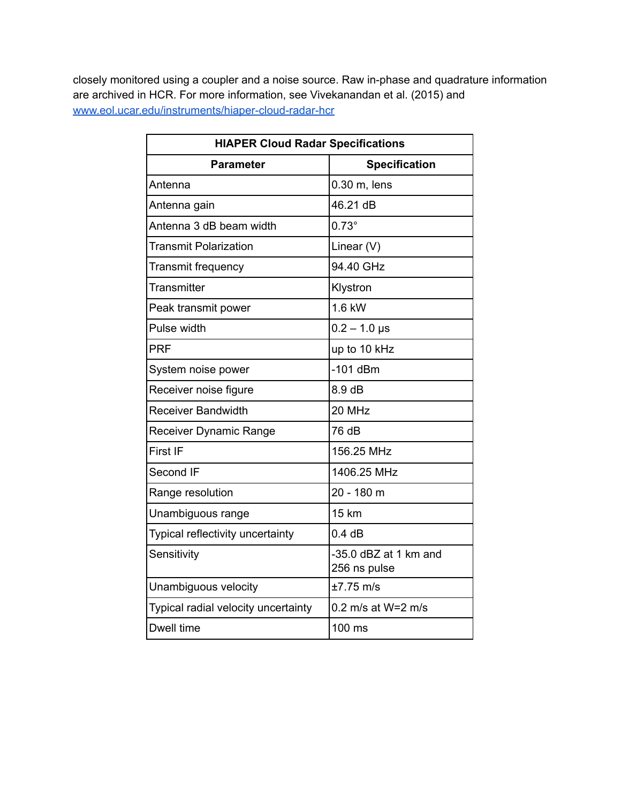closely monitored using a coupler and a noise source. Raw in-phase and quadrature information are archived in HCR. For more information, see Vivekanandan et al. (2015) and [www.eol.ucar.edu/instruments/hiaper-cloud-radar-hcr](http://www.eol.ucar.edu/instruments/hiaper-cloud-radar-hcr)

| <b>HIAPER Cloud Radar Specifications</b> |                                       |  |
|------------------------------------------|---------------------------------------|--|
| <b>Parameter</b>                         | <b>Specification</b>                  |  |
| Antenna                                  | 0.30 m, lens                          |  |
| Antenna gain                             | 46.21 dB                              |  |
| Antenna 3 dB beam width                  | $0.73^\circ$                          |  |
| <b>Transmit Polarization</b>             | Linear (V)                            |  |
| <b>Transmit frequency</b>                | 94.40 GHz                             |  |
| Transmitter                              | Klystron                              |  |
| Peak transmit power                      | 1.6 kW                                |  |
| Pulse width                              | $0.2 - 1.0$ µs                        |  |
| <b>PRF</b>                               | up to 10 kHz                          |  |
| System noise power                       | $-101$ dBm                            |  |
| Receiver noise figure                    | 8.9dB                                 |  |
| <b>Receiver Bandwidth</b>                | 20 MHz                                |  |
| Receiver Dynamic Range                   | 76 dB                                 |  |
| First IF                                 | 156.25 MHz                            |  |
| Second IF                                | 1406.25 MHz                           |  |
| Range resolution                         | 20 - 180 m                            |  |
| Unambiguous range                        | <b>15 km</b>                          |  |
| Typical reflectivity uncertainty         | 0.4 dB                                |  |
| Sensitivity                              | -35.0 dBZ at 1 km and<br>256 ns pulse |  |
| Unambiguous velocity                     | $±7.75$ m/s                           |  |
| Typical radial velocity uncertainty      | 0.2 m/s at W=2 m/s                    |  |
| Dwell time                               | 100 ms                                |  |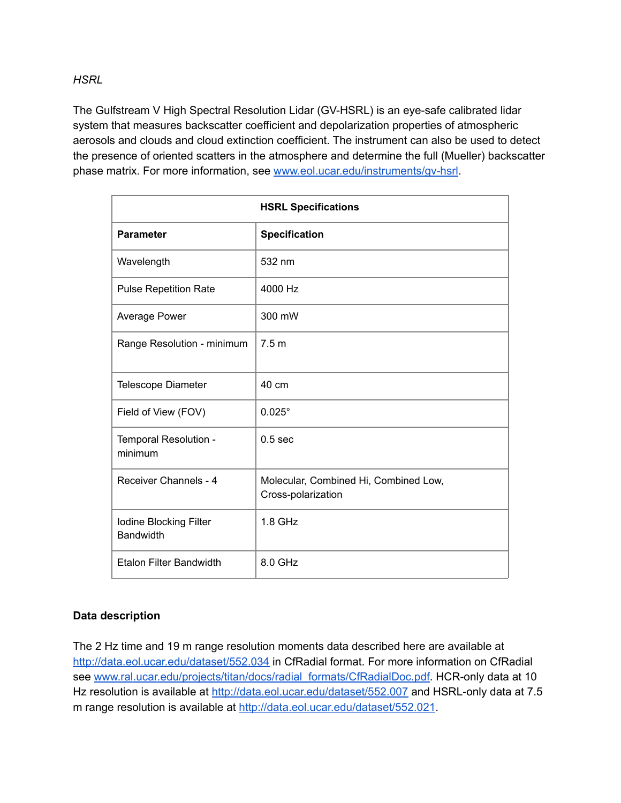*HSRL*

The Gulfstream V High Spectral Resolution Lidar (GV-HSRL) is an eye-safe calibrated lidar system that measures backscatter coefficient and depolarization properties of atmospheric aerosols and clouds and cloud extinction coefficient. The instrument can also be used to detect the presence of oriented scatters in the atmosphere and determine the full (Mueller) backscatter phase matrix. For more information, see www.eol.ucar.edu/instruments/qv-hsrl.

| <b>HSRL Specifications</b>                 |                                                             |  |
|--------------------------------------------|-------------------------------------------------------------|--|
| <b>Parameter</b>                           | <b>Specification</b>                                        |  |
| Wavelength                                 | 532 nm                                                      |  |
| <b>Pulse Repetition Rate</b>               | 4000 Hz                                                     |  |
| <b>Average Power</b>                       | 300 mW                                                      |  |
| Range Resolution - minimum                 | 7.5 <sub>m</sub>                                            |  |
| <b>Telescope Diameter</b>                  | 40 cm                                                       |  |
| Field of View (FOV)                        | $0.025^\circ$                                               |  |
| Temporal Resolution -<br>minimum           | 0.5 <sub>sec</sub>                                          |  |
| Receiver Channels - 4                      | Molecular, Combined Hi, Combined Low,<br>Cross-polarization |  |
| Iodine Blocking Filter<br><b>Bandwidth</b> | $1.8$ GHz                                                   |  |
| <b>Etalon Filter Bandwidth</b>             | 8.0 GHz                                                     |  |

#### **Data description**

The 2 Hz time and 19 m range resolution moments data described here are available at <http://data.eol.ucar.edu/dataset/552.034> in CfRadial format. For more information on CfRadial see [www.ral.ucar.edu/projects/titan/docs/radial\\_formats/CfRadialDoc.pdf.](http://www.ral.ucar.edu/projects/titan/docs/radial_formats/CfRadialDoc.pdf) HCR-only data at 10 Hz resolution is available at <http://data.eol.ucar.edu/dataset/552.007> and HSRL-only data at 7.5 m range resolution is available at <http://data.eol.ucar.edu/dataset/552.021>.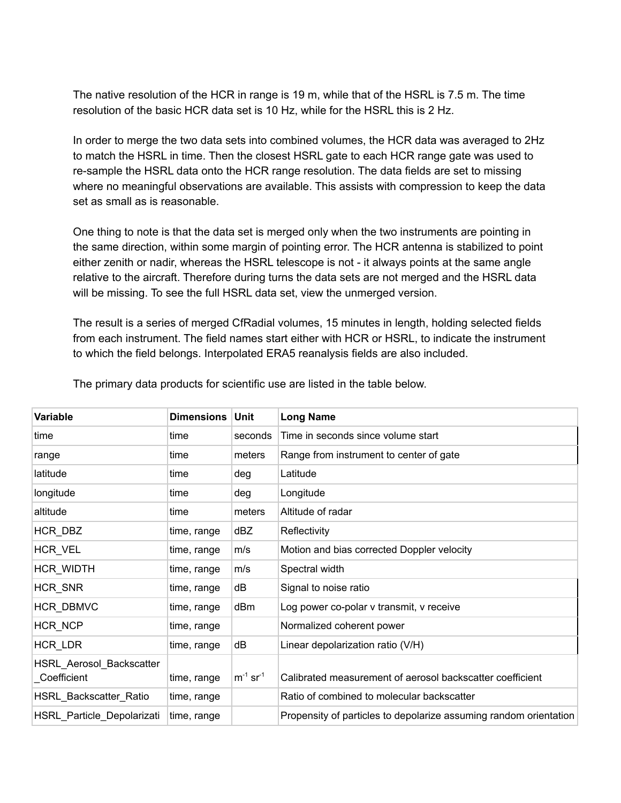The native resolution of the HCR in range is 19 m, while that of the HSRL is 7.5 m. The time resolution of the basic HCR data set is 10 Hz, while for the HSRL this is 2 Hz.

In order to merge the two data sets into combined volumes, the HCR data was averaged to 2Hz to match the HSRL in time. Then the closest HSRL gate to each HCR range gate was used to re-sample the HSRL data onto the HCR range resolution. The data fields are set to missing where no meaningful observations are available. This assists with compression to keep the data set as small as is reasonable.

One thing to note is that the data set is merged only when the two instruments are pointing in the same direction, within some margin of pointing error. The HCR antenna is stabilized to point either zenith or nadir, whereas the HSRL telescope is not - it always points at the same angle relative to the aircraft. Therefore during turns the data sets are not merged and the HSRL data will be missing. To see the full HSRL data set, view the unmerged version.

The result is a series of merged CfRadial volumes, 15 minutes in length, holding selected fields from each instrument. The field names start either with HCR or HSRL, to indicate the instrument to which the field belongs. Interpolated ERA5 reanalysis fields are also included.

| Variable                                 | <b>Dimensions</b> | Unit                      | <b>Long Name</b>                                                  |
|------------------------------------------|-------------------|---------------------------|-------------------------------------------------------------------|
| time                                     | time              | seconds                   | Time in seconds since volume start                                |
| range                                    | time              | meters                    | Range from instrument to center of gate                           |
| latitude                                 | time              | deg                       | Latitude                                                          |
| longitude                                | time              | deg                       | Longitude                                                         |
| altitude                                 | time              | meters                    | Altitude of radar                                                 |
| HCR_DBZ                                  | time, range       | dBZ                       | Reflectivity                                                      |
| HCR_VEL                                  | time, range       | m/s                       | Motion and bias corrected Doppler velocity                        |
| HCR_WIDTH                                | time, range       | m/s                       | Spectral width                                                    |
| HCR_SNR                                  | time, range       | dB                        | Signal to noise ratio                                             |
| HCR_DBMVC                                | time, range       | dBm                       | Log power co-polar v transmit, v receive                          |
| HCR_NCP                                  | time, range       |                           | Normalized coherent power                                         |
| HCR_LDR                                  | time, range       | dB                        | Linear depolarization ratio (V/H)                                 |
| HSRL_Aerosol_Backscatter<br>_Coefficient | time, range       | $m^{-1}$ sr <sup>-1</sup> | Calibrated measurement of aerosol backscatter coefficient         |
| HSRL_Backscatter_Ratio                   | time, range       |                           | Ratio of combined to molecular backscatter                        |
| HSRL_Particle_Depolarizati               | time, range       |                           | Propensity of particles to depolarize assuming random orientation |

The primary data products for scientific use are listed in the table below.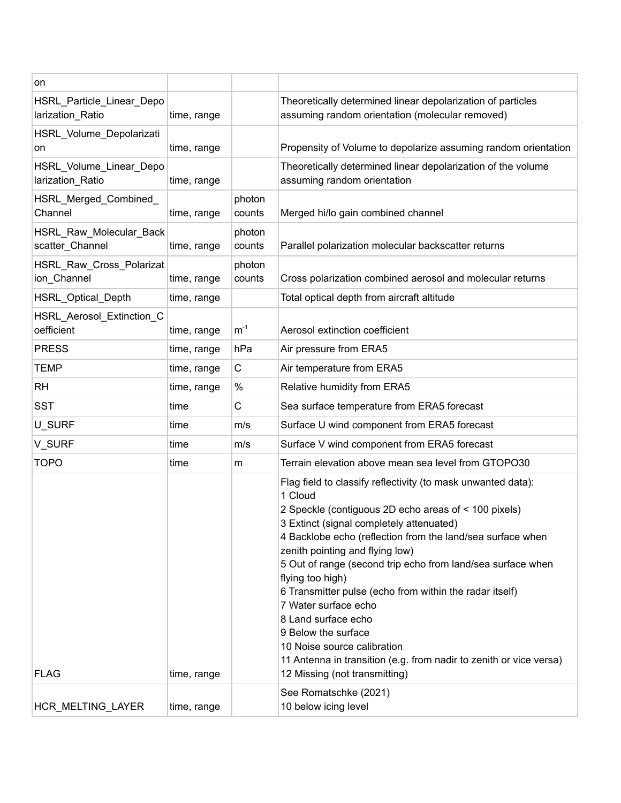| on                                            |             |                  |                                                                                                                                                                                                                                                                                                                                                                                                                                                                                                                                                                                                                                        |
|-----------------------------------------------|-------------|------------------|----------------------------------------------------------------------------------------------------------------------------------------------------------------------------------------------------------------------------------------------------------------------------------------------------------------------------------------------------------------------------------------------------------------------------------------------------------------------------------------------------------------------------------------------------------------------------------------------------------------------------------------|
| HSRL_Particle_Linear_Depo<br>larization_Ratio | time, range |                  | Theoretically determined linear depolarization of particles<br>assuming random orientation (molecular removed)                                                                                                                                                                                                                                                                                                                                                                                                                                                                                                                         |
| HSRL_Volume_Depolarizati<br>on                | time, range |                  | Propensity of Volume to depolarize assuming random orientation                                                                                                                                                                                                                                                                                                                                                                                                                                                                                                                                                                         |
| HSRL_Volume_Linear_Depo<br>larization_Ratio   | time, range |                  | Theoretically determined linear depolarization of the volume<br>assuming random orientation                                                                                                                                                                                                                                                                                                                                                                                                                                                                                                                                            |
| HSRL_Merged_Combined_<br>Channel              | time, range | photon<br>counts | Merged hi/lo gain combined channel                                                                                                                                                                                                                                                                                                                                                                                                                                                                                                                                                                                                     |
| HSRL_Raw_Molecular_Back<br>scatter_Channel    | time, range | photon<br>counts | Parallel polarization molecular backscatter returns                                                                                                                                                                                                                                                                                                                                                                                                                                                                                                                                                                                    |
| HSRL_Raw_Cross_Polarizat<br>ion_Channel       | time, range | photon<br>counts | Cross polarization combined aerosol and molecular returns                                                                                                                                                                                                                                                                                                                                                                                                                                                                                                                                                                              |
| HSRL_Optical_Depth                            | time, range |                  | Total optical depth from aircraft altitude                                                                                                                                                                                                                                                                                                                                                                                                                                                                                                                                                                                             |
| HSRL Aerosol Extinction C<br>oefficient       | time, range | $m^{-1}$         | Aerosol extinction coefficient                                                                                                                                                                                                                                                                                                                                                                                                                                                                                                                                                                                                         |
| <b>PRESS</b>                                  | time, range | hPa              | Air pressure from ERA5                                                                                                                                                                                                                                                                                                                                                                                                                                                                                                                                                                                                                 |
| <b>TEMP</b>                                   | time, range | C                | Air temperature from ERA5                                                                                                                                                                                                                                                                                                                                                                                                                                                                                                                                                                                                              |
| <b>RH</b>                                     | time, range | %                | Relative humidity from ERA5                                                                                                                                                                                                                                                                                                                                                                                                                                                                                                                                                                                                            |
| <b>SST</b>                                    | time        | C                | Sea surface temperature from ERA5 forecast                                                                                                                                                                                                                                                                                                                                                                                                                                                                                                                                                                                             |
| U_SURF                                        | time        | m/s              | Surface U wind component from ERA5 forecast                                                                                                                                                                                                                                                                                                                                                                                                                                                                                                                                                                                            |
| V_SURF                                        | time        | m/s              | Surface V wind component from ERA5 forecast                                                                                                                                                                                                                                                                                                                                                                                                                                                                                                                                                                                            |
| <b>TOPO</b>                                   | time        | m                | Terrain elevation above mean sea level from GTOPO30                                                                                                                                                                                                                                                                                                                                                                                                                                                                                                                                                                                    |
| <b>FLAG</b>                                   | time, range |                  | Flag field to classify reflectivity (to mask unwanted data):<br>1 Cloud<br>2 Speckle (contiguous 2D echo areas of < 100 pixels)<br>3 Extinct (signal completely attenuated)<br>4 Backlobe echo (reflection from the land/sea surface when<br>zenith pointing and flying low)<br>5 Out of range (second trip echo from land/sea surface when<br>flying too high)<br>6 Transmitter pulse (echo from within the radar itself)<br>7 Water surface echo<br>8 Land surface echo<br>9 Below the surface<br>10 Noise source calibration<br>11 Antenna in transition (e.g. from nadir to zenith or vice versa)<br>12 Missing (not transmitting) |
| HCR_MELTING_LAYER                             | time, range |                  | See Romatschke (2021)<br>10 below icing level                                                                                                                                                                                                                                                                                                                                                                                                                                                                                                                                                                                          |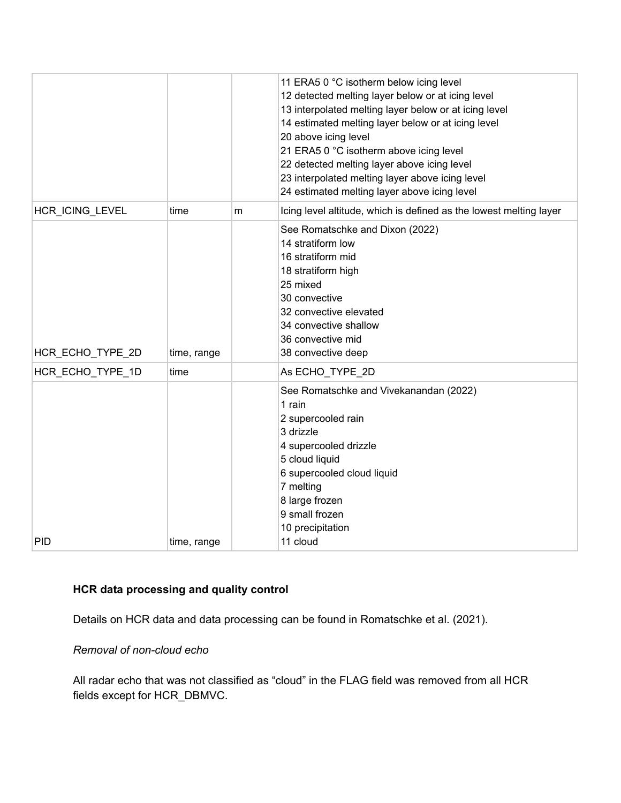|                  |             |   | 11 ERA5 0 °C isotherm below icing level<br>12 detected melting layer below or at icing level<br>13 interpolated melting layer below or at icing level<br>14 estimated melting layer below or at icing level<br>20 above icing level<br>21 ERA5 0 °C isotherm above icing level<br>22 detected melting layer above icing level<br>23 interpolated melting layer above icing level<br>24 estimated melting layer above icing level |
|------------------|-------------|---|----------------------------------------------------------------------------------------------------------------------------------------------------------------------------------------------------------------------------------------------------------------------------------------------------------------------------------------------------------------------------------------------------------------------------------|
| HCR_ICING_LEVEL  | time        | m | Icing level altitude, which is defined as the lowest melting layer                                                                                                                                                                                                                                                                                                                                                               |
| HCR_ECHO_TYPE_2D | time, range |   | See Romatschke and Dixon (2022)<br>14 stratiform low<br>16 stratiform mid<br>18 stratiform high<br>25 mixed<br>30 convective<br>32 convective elevated<br>34 convective shallow<br>36 convective mid<br>38 convective deep                                                                                                                                                                                                       |
| HCR ECHO TYPE 1D | time        |   | As ECHO_TYPE_2D                                                                                                                                                                                                                                                                                                                                                                                                                  |
| <b>PID</b>       | time, range |   | See Romatschke and Vivekanandan (2022)<br>1 rain<br>2 supercooled rain<br>3 drizzle<br>4 supercooled drizzle<br>5 cloud liquid<br>6 supercooled cloud liquid<br>7 melting<br>8 large frozen<br>9 small frozen<br>10 precipitation<br>11 cloud                                                                                                                                                                                    |

# **HCR data processing and quality control**

Details on HCR data and data processing can be found in Romatschke et al. (2021).

## *Removal of non-cloud echo*

All radar echo that was not classified as "cloud" in the FLAG field was removed from all HCR fields except for HCR\_DBMVC.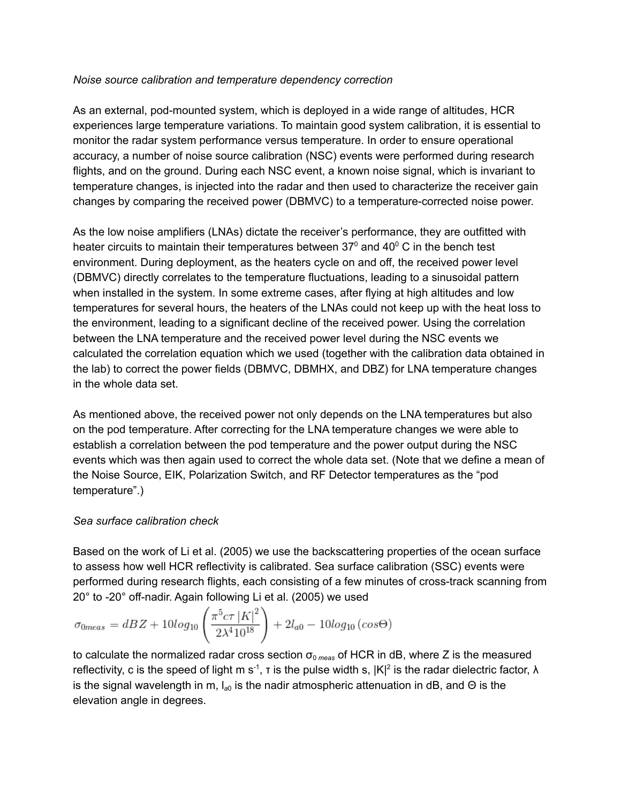#### *Noise source calibration and temperature dependency correction*

As an external, pod-mounted system, which is deployed in a wide range of altitudes, HCR experiences large temperature variations. To maintain good system calibration, it is essential to monitor the radar system performance versus temperature. In order to ensure operational accuracy, a number of noise source calibration (NSC) events were performed during research flights, and on the ground. During each NSC event, a known noise signal, which is invariant to temperature changes, is injected into the radar and then used to characterize the receiver gain changes by comparing the received power (DBMVC) to a temperature-corrected noise power.

As the low noise amplifiers (LNAs) dictate the receiver's performance, they are outfitted with heater circuits to maintain their temperatures between 37 $^{\circ}$  and 40 $^{\circ}$  C in the bench test environment. During deployment, as the heaters cycle on and off, the received power level (DBMVC) directly correlates to the temperature fluctuations, leading to a sinusoidal pattern when installed in the system. In some extreme cases, after flying at high altitudes and low temperatures for several hours, the heaters of the LNAs could not keep up with the heat loss to the environment, leading to a significant decline of the received power. Using the correlation between the LNA temperature and the received power level during the NSC events we calculated the correlation equation which we used (together with the calibration data obtained in the lab) to correct the power fields (DBMVC, DBMHX, and DBZ) for LNA temperature changes in the whole data set.

As mentioned above, the received power not only depends on the LNA temperatures but also on the pod temperature. After correcting for the LNA temperature changes we were able to establish a correlation between the pod temperature and the power output during the NSC events which was then again used to correct the whole data set. (Note that we define a mean of the Noise Source, EIK, Polarization Switch, and RF Detector temperatures as the "pod temperature".)

#### *Sea surface calibration check*

Based on the work of Li et al. (2005) we use the backscattering properties of the ocean surface to assess how well HCR reflectivity is calibrated. Sea surface calibration (SSC) events were performed during research flights, each consisting of a few minutes of cross-track scanning from 20° to -20° off-nadir. Again following Li et al. (2005) we used

$$
\sigma_{0meas} = dBZ + 10\log_{10}\left(\frac{\pi^5 c \tau |K|^2}{2\lambda^4 10^{18}}\right) + 2l_{a0} - 10\log_{10}\left(\cos\Theta\right)
$$

to calculate the normalized radar cross section  $\sigma_{0 \text{ meas}}$  of HCR in dB, where Z is the measured reflectivity, c is the speed of light m s<sup>-1</sup>, t is the pulse width s,  $|K|^2$  is the radar dielectric factor,  $\lambda$ is the signal wavelength in m, l<sub>a0</sub> is the nadir atmospheric attenuation in dB, and Θ is the elevation angle in degrees.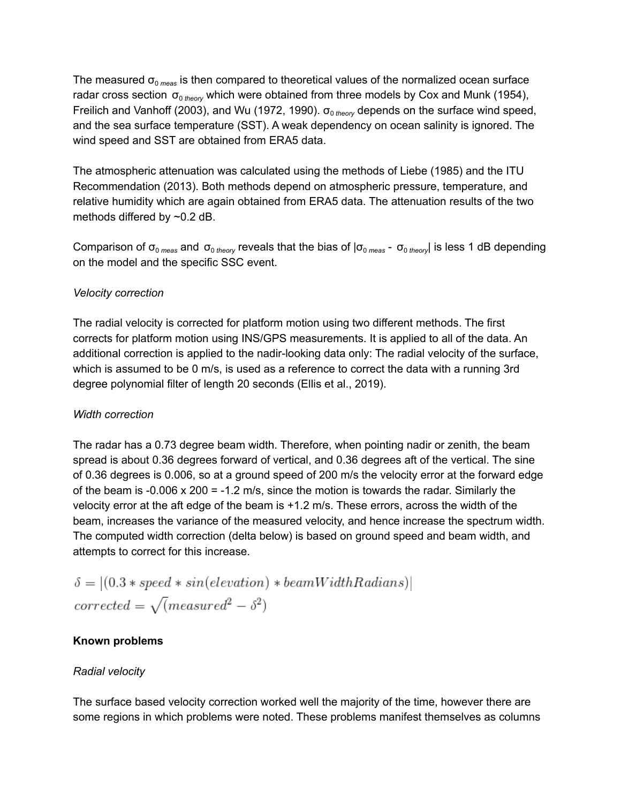The measured  $\sigma_{\text{o} \, \text{meas}}$  is then compared to theoretical values of the normalized ocean surface radar cross section σ<sub>0 theory</sub> which were obtained from three models by Cox and Munk (1954), Freilich and Vanhoff (2003), and Wu (1972, 1990).  $\sigma_{0 \text{ theory}}$  depends on the surface wind speed, and the sea surface temperature (SST). A weak dependency on ocean salinity is ignored. The wind speed and SST are obtained from ERA5 data.

The atmospheric attenuation was calculated using the methods of Liebe (1985) and the ITU Recommendation (2013). Both methods depend on atmospheric pressure, temperature, and relative humidity which are again obtained from ERA5 data. The attenuation results of the two methods differed by ~0.2 dB.

Comparison of σ<sub>0 *meas*</sub> and σ<sub>0 *theory* reveals that the bias of |σ<sub>0 *meas* - σ<sub>0 *theory*</sub>| is less 1 dB depending</sub></sub> on the model and the specific SSC event.

## *Velocity correction*

The radial velocity is corrected for platform motion using two different methods. The first corrects for platform motion using INS/GPS measurements. It is applied to all of the data. An additional correction is applied to the nadir-looking data only: The radial velocity of the surface, which is assumed to be 0 m/s, is used as a reference to correct the data with a running 3rd degree polynomial filter of length 20 seconds (Ellis et al., 2019).

#### *Width correction*

The radar has a 0.73 degree beam width. Therefore, when pointing nadir or zenith, the beam spread is about 0.36 degrees forward of vertical, and 0.36 degrees aft of the vertical. The sine of 0.36 degrees is 0.006, so at a ground speed of 200 m/s the velocity error at the forward edge of the beam is -0.006 x 200 = -1.2 m/s, since the motion is towards the radar. Similarly the velocity error at the aft edge of the beam is +1.2 m/s. These errors, across the width of the beam, increases the variance of the measured velocity, and hence increase the spectrum width. The computed width correction (delta below) is based on ground speed and beam width, and attempts to correct for this increase.

$$
\delta = |(0.3 * speed * sin(elevation) * beamWidthRadius)|
$$
  
corrected =  $\sqrt{(measured^2 - \delta^2)}$ 

#### **Known problems**

#### *Radial velocity*

The surface based velocity correction worked well the majority of the time, however there are some regions in which problems were noted. These problems manifest themselves as columns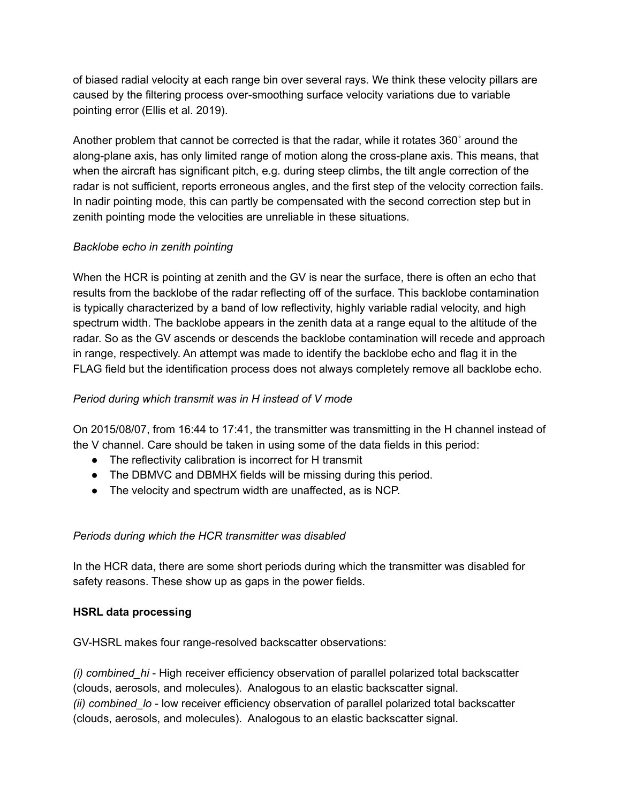of biased radial velocity at each range bin over several rays. We think these velocity pillars are caused by the filtering process over-smoothing surface velocity variations due to variable pointing error (Ellis et al. 2019).

Another problem that cannot be corrected is that the radar, while it rotates 360˚ around the along-plane axis, has only limited range of motion along the cross-plane axis. This means, that when the aircraft has significant pitch, e.g. during steep climbs, the tilt angle correction of the radar is not sufficient, reports erroneous angles, and the first step of the velocity correction fails. In nadir pointing mode, this can partly be compensated with the second correction step but in zenith pointing mode the velocities are unreliable in these situations.

## *Backlobe echo in zenith pointing*

When the HCR is pointing at zenith and the GV is near the surface, there is often an echo that results from the backlobe of the radar reflecting off of the surface. This backlobe contamination is typically characterized by a band of low reflectivity, highly variable radial velocity, and high spectrum width. The backlobe appears in the zenith data at a range equal to the altitude of the radar. So as the GV ascends or descends the backlobe contamination will recede and approach in range, respectively. An attempt was made to identify the backlobe echo and flag it in the FLAG field but the identification process does not always completely remove all backlobe echo.

## *Period during which transmit was in H instead of V mode*

On 2015/08/07, from 16:44 to 17:41, the transmitter was transmitting in the H channel instead of the V channel. Care should be taken in using some of the data fields in this period:

- The reflectivity calibration is incorrect for H transmit
- The DBMVC and DBMHX fields will be missing during this period.
- The velocity and spectrum width are unaffected, as is NCP.

## *Periods during which the HCR transmitter was disabled*

In the HCR data, there are some short periods during which the transmitter was disabled for safety reasons. These show up as gaps in the power fields.

#### **HSRL data processing**

GV-HSRL makes four range-resolved backscatter observations:

*(i) combined\_hi* - High receiver efficiency observation of parallel polarized total backscatter (clouds, aerosols, and molecules). Analogous to an elastic backscatter signal. *(ii) combined lo* - low receiver efficiency observation of parallel polarized total backscatter (clouds, aerosols, and molecules). Analogous to an elastic backscatter signal.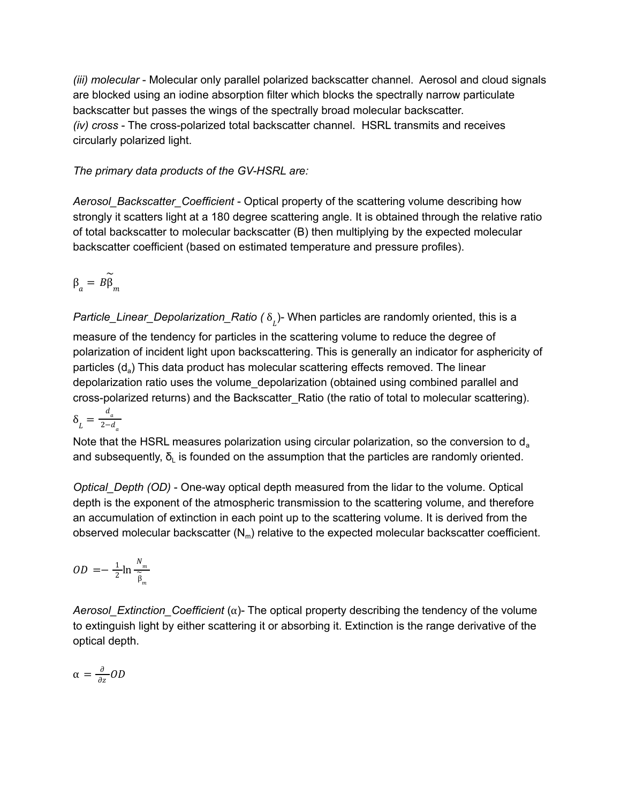*(iii) molecular* - Molecular only parallel polarized backscatter channel. Aerosol and cloud signals are blocked using an iodine absorption filter which blocks the spectrally narrow particulate backscatter but passes the wings of the spectrally broad molecular backscatter. *(iv) cross* - The cross-polarized total backscatter channel. HSRL transmits and receives circularly polarized light.

*The primary data products of the GV-HSRL are:*

*Aerosol\_Backscatter\_Coefficient* - Optical property of the scattering volume describing how strongly it scatters light at a 180 degree scattering angle. It is obtained through the relative ratio of total backscatter to molecular backscatter (B) then multiplying by the expected molecular backscatter coefficient (based on estimated temperature and pressure profiles).

$$
\beta_a = B \widetilde{\beta}_m
$$

*Particle\_Linear\_Depolarization\_Ratio ( δ<sub>լ.</sub>)*- When particles are randomly oriented, this is a measure of the tendency for particles in the scattering volume to reduce the degree of polarization of incident light upon backscattering. This is generally an indicator for asphericity of particles (d<sub>a</sub>) This data product has molecular scattering effects removed. The linear depolarization ratio uses the volume\_depolarization (obtained using combined parallel and cross-polarized returns) and the Backscatter\_Ratio (the ratio of total to molecular scattering).  $\delta_{L} = \frac{d_{a}}{2 - d}$  $2-a_a$ 

Note that the HSRL measures polarization using circular polarization, so the conversion to  $d_a$ and subsequently,  $\delta_{\text{L}}$  is founded on the assumption that the particles are randomly oriented.

*Optical\_Depth (OD)* - One-way optical depth measured from the lidar to the volume. Optical depth is the exponent of the atmospheric transmission to the scattering volume, and therefore an accumulation of extinction in each point up to the scattering volume. It is derived from the observed molecular backscatter  $(N_m)$  relative to the expected molecular backscatter coefficient.

$$
OD = -\frac{1}{2} \ln \frac{N_m}{\widetilde{\beta}_m}
$$

*Aerosol Extinction Coefficient* ( $\alpha$ )- The optical property describing the tendency of the volume to extinguish light by either scattering it or absorbing it. Extinction is the range derivative of the optical depth.

$$
\alpha = \frac{\partial}{\partial z} OD
$$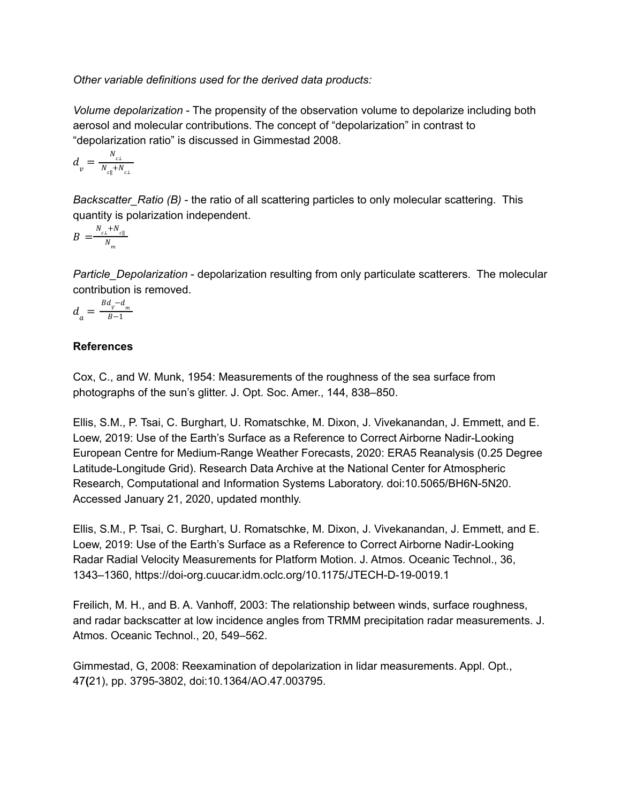*Other variable definitions used for the derived data products:*

*Volume depolarization* - The propensity of the observation volume to depolarize including both aerosol and molecular contributions. The concept of "depolarization" in contrast to "depolarization ratio" is discussed in Gimmestad 2008.

$$
d_{v} = \frac{N_{c\perp}}{N_{c\parallel} + N_{c\perp}}
$$

*Backscatter\_Ratio (B)* - the ratio of all scattering particles to only molecular scattering. This quantity is polarization independent.

$$
B = \frac{N_{c\perp} + N_{c\parallel}}{N_m}
$$

*Particle\_Depolarization* - depolarization resulting from only particulate scatterers. The molecular contribution is removed.

$$
d_a = \frac{Bd_v - d_m}{B - 1}
$$

## **References**

Cox, C., and W. Munk, 1954: Measurements of the roughness of the sea surface from photographs of the sun's glitter. J. Opt. Soc. Amer., 144, 838–850.

Ellis, S.M., P. Tsai, C. Burghart, U. Romatschke, M. Dixon, J. Vivekanandan, J. Emmett, and E. Loew, 2019: Use of the Earth's Surface as a Reference to Correct Airborne Nadir-Looking European Centre for Medium-Range Weather Forecasts, 2020: ERA5 Reanalysis (0.25 Degree Latitude-Longitude Grid). Research Data Archive at the National Center for Atmospheric Research, Computational and Information Systems Laboratory. doi:10.5065/BH6N-5N20. Accessed January 21, 2020, updated monthly.

Ellis, S.M., P. Tsai, C. Burghart, U. Romatschke, M. Dixon, J. Vivekanandan, J. Emmett, and E. Loew, 2019: Use of the Earth's Surface as a Reference to Correct Airborne Nadir-Looking Radar Radial Velocity Measurements for Platform Motion. J. Atmos. Oceanic Technol., 36, 1343–1360, https://doi-org.cuucar.idm.oclc.org/10.1175/JTECH-D-19-0019.1

Freilich, M. H., and B. A. Vanhoff, 2003: The relationship between winds, surface roughness, and radar backscatter at low incidence angles from TRMM precipitation radar measurements. J. Atmos. Oceanic Technol., 20, 549–562.

Gimmestad, G, 2008: Reexamination of depolarization in lidar measurements. Appl. Opt., 47**(**21), pp. 3795-3802, doi:10.1364/AO.47.003795.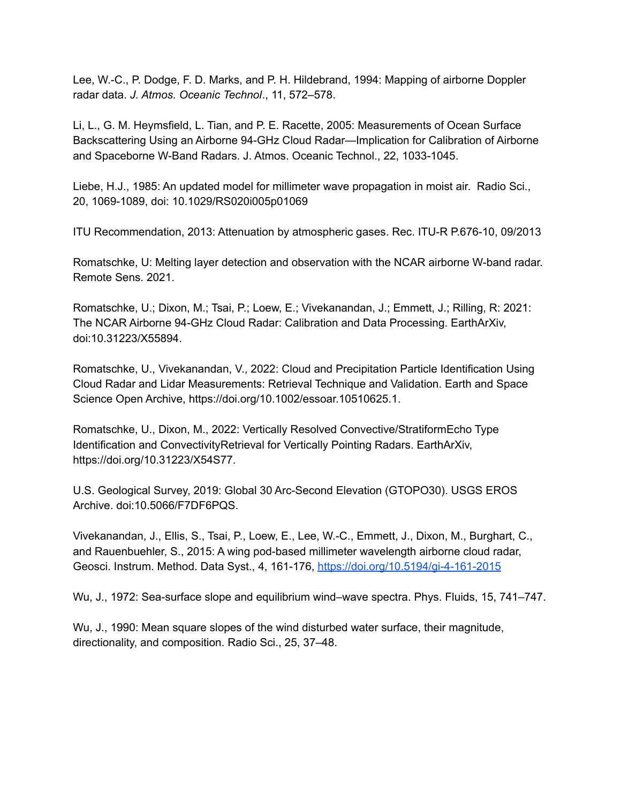Lee, W.-C., P. Dodge, F. D. Marks, and P. H. Hildebrand, 1994: Mapping of airborne Doppler radar data. *J. Atmos. Oceanic Technol*., 11, 572–578.

Li, L., G. M. Heymsfield, L. Tian, and P. E. Racette, 2005: Measurements of Ocean Surface Backscattering Using an Airborne 94-GHz Cloud Radar—Implication for Calibration of Airborne and Spaceborne W-Band Radars. J. Atmos. Oceanic Technol., 22, 1033-1045.

Liebe, H.J., 1985: An updated model for millimeter wave propagation in moist air. Radio Sci., 20, 1069-1089, doi: 10.1029/RS020i005p01069

ITU Recommendation, 2013: Attenuation by atmospheric gases. Rec. ITU-R P.676-10, 09/2013

Romatschke, U: Melting layer detection and observation with the NCAR airborne W-band radar. Remote Sens. 2021.

Romatschke, U.; Dixon, M.; Tsai, P.; Loew, E.; Vivekanandan, J.; Emmett, J.; Rilling, R: 2021: The NCAR Airborne 94-GHz Cloud Radar: Calibration and Data Processing. EarthArXiv, doi:10.31223/X55894.

Romatschke, U., Vivekanandan, V., 2022: Cloud and Precipitation Particle Identification Using Cloud Radar and Lidar Measurements: Retrieval Technique and Validation. Earth and Space Science Open Archive, https://doi.org/10.1002/essoar.10510625.1.

Romatschke, U., Dixon, M., 2022: Vertically Resolved Convective/StratiformEcho Type Identification and ConvectivityRetrieval for Vertically Pointing Radars. EarthArXiv, https://doi.org/10.31223/X54S77.

U.S. Geological Survey, 2019: Global 30 Arc-Second Elevation (GTOPO30). USGS EROS Archive. doi:10.5066/F7DF6PQS.

Vivekanandan, J., Ellis, S., Tsai, P., Loew, E., Lee, W.-C., Emmett, J., Dixon, M., Burghart, C., and Rauenbuehler, S., 2015: A wing pod-based millimeter wavelength airborne cloud radar, Geosci. Instrum. Method. Data Syst., 4, 161-176, <https://doi.org/10.5194/gi-4-161-2015>

Wu, J., 1972: Sea-surface slope and equilibrium wind–wave spectra. Phys. Fluids, 15, 741–747.

Wu, J., 1990: Mean square slopes of the wind disturbed water surface, their magnitude, directionality, and composition. Radio Sci., 25, 37–48.